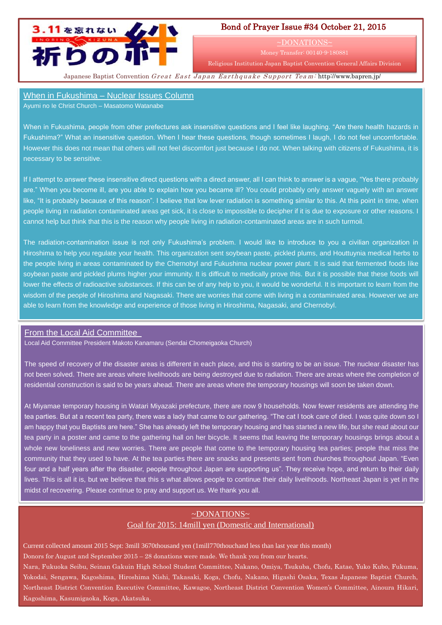

## Bond of Prayer Issue #34 October 21, 2015

~DONATIONS~

Money Transfer: 00140-9-180881

Religious Institution Japan Baptist Convention General Affairs Division

Japanese Baptist Convention Great East Japan Earthquake Support Team: <http://www.bapren.jp/>

## When in Fukushima – Nuclear Issues Column

Ayumi no Ie Christ Church – Masatomo Watanabe

When in Fukushima, people from other prefectures ask insensitive questions and I feel like laughing. "Are there health hazards in Fukushima?" What an insensitive question. When I hear these questions, though sometimes I laugh, I do not feel uncomfortable. However this does not mean that others will not feel discomfort just because I do not. When talking with citizens of Fukushima, it is necessary to be sensitive.

If I attempt to answer these insensitive direct questions with a direct answer, all I can think to answer is a vague, "Yes there probably are." When you become ill, are you able to explain how you became ill? You could probably only answer vaguely with an answer like, "It is probably because of this reason". I believe that low lever radiation is something similar to this. At this point in time, when people living in radiation contaminated areas get sick, it is close to impossible to decipher if it is due to exposure or other reasons. I cannot help but think that this is the reason why people living in radiation-contaminated areas are in such turmoil.

The radiation-contamination issue is not only Fukushima's problem. I would like to introduce to you a civilian organization in Hiroshima to help you regulate your health. This organization sent soybean paste, pickled plums, and Houttuynia medical herbs to the people living in areas contaminated by the Chernobyl and Fukushima nuclear power plant. It is said that fermented foods like soybean paste and pickled plums higher your immunity. It is difficult to medically prove this. But it is possible that these foods will lower the effects of radioactive substances. If this can be of any help to you, it would be wonderful. It is important to learn from the wisdom of the people of Hiroshima and Nagasaki. There are worries that come with living in a contaminated area. However we are able to learn from the knowledge and experience of those living in Hiroshima, Nagasaki, and Chernobyl.

## From the Local Aid Committee

Local Aid Committee President Makoto Kanamaru (Sendai Chomeigaoka Church)

The speed of recovery of the disaster areas is different in each place, and this is starting to be an issue. The nuclear disaster has not been solved. There are areas where livelihoods are being destroyed due to radiation. There are areas where the completion of residential construction is said to be years ahead. There are areas where the temporary housings will soon be taken down.

At Miyamae temporary housing in Watari Miyazaki prefecture, there are now 9 households. Now fewer residents are attending the tea parties. But at a recent tea party, there was a lady that came to our gathering. "The cat I took care of died. I was quite down so I am happy that you Baptists are here." She has already left the temporary housing and has started a new life, but she read about our tea party in a poster and came to the gathering hall on her bicycle. It seems that leaving the temporary housings brings about a whole new loneliness and new worries. There are people that come to the temporary housing tea parties; people that miss the community that they used to have. At the tea parties there are snacks and presents sent from churches throughout Japan. "Even four and a half years after the disaster, people throughout Japan are supporting us". They receive hope, and return to their daily lives. This is all it is, but we believe that this s what allows people to continue their daily livelihoods. Northeast Japan is yet in the midst of recovering. Please continue to pray and support us. We thank you all.

## ~DONATIONS~ Goal for 2015: 14mill yen (Domestic and International)

Current collected amount 2015 Sept: 3mill 3670thousand yen (1mill770thouchand less than last year this month) Donors for August and September 2015 – 28 donations were made. We thank you from our hearts. Nara, Fukuoka Seibu, Seinan Gakuin High School Student Committee, Nakano, Omiya, Tsukuba, Chofu, Katae, Yuko Kubo, Fukuma, Yokodai, Sengawa, Kagoshima, Hiroshima Nishi, Takasaki, Koga, Chofu, Nakano, Higashi Osaka, Texas Japanese Baptist Church, Northeast District Convention Executive Committee, Kawagoe, Northeast District Convention Women's Committee, Ainoura Hikari, Kagoshima, Kasumigaoka, Koga, Akatsuka.